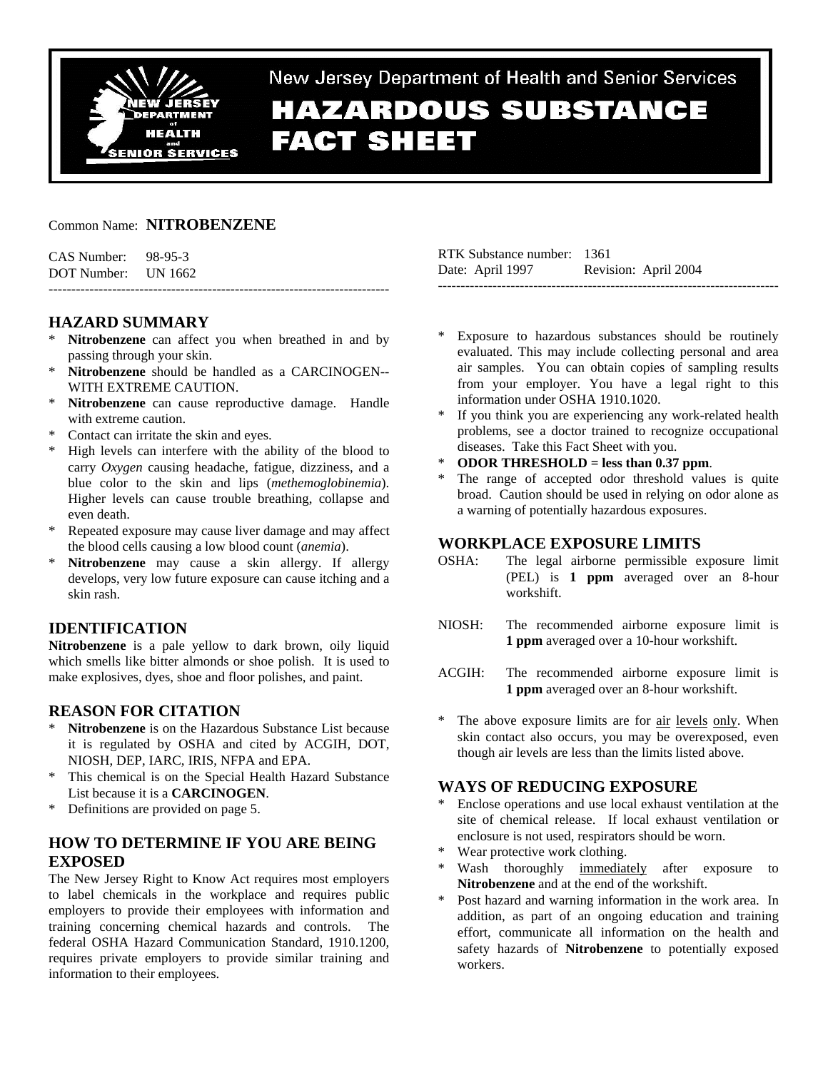

New Jersey Department of Health and Senior Services **HAZARDOUS SUBSTANCE FACT SHEET** 

## Common Name: **NITROBENZENE**

| CAS Number:         | 98-95-3 |
|---------------------|---------|
| DOT Number: UN 1662 |         |

# **HAZARD SUMMARY**

Nitrobenzene can affect you when breathed in and by passing through your skin.

---------------------------------------------------------------------------

- \* **Nitrobenzene** should be handled as a CARCINOGEN-- WITH EXTREME CAUTION.
- \* **Nitrobenzene** can cause reproductive damage. Handle with extreme caution.
- Contact can irritate the skin and eyes.
- \* High levels can interfere with the ability of the blood to carry *Oxygen* causing headache, fatigue, dizziness, and a blue color to the skin and lips (*methemoglobinemia*). Higher levels can cause trouble breathing, collapse and even death.
- \* Repeated exposure may cause liver damage and may affect the blood cells causing a low blood count (*anemia*).
- Nitrobenzene may cause a skin allergy. If allergy develops, very low future exposure can cause itching and a skin rash.

# **IDENTIFICATION**

**Nitrobenzene** is a pale yellow to dark brown, oily liquid which smells like bitter almonds or shoe polish. It is used to make explosives, dyes, shoe and floor polishes, and paint.

# **REASON FOR CITATION**

- Nitrobenzene is on the Hazardous Substance List because it is regulated by OSHA and cited by ACGIH, DOT, NIOSH, DEP, IARC, IRIS, NFPA and EPA.
- \* This chemical is on the Special Health Hazard Substance List because it is a **CARCINOGEN**.
- \* Definitions are provided on page 5.

# **HOW TO DETERMINE IF YOU ARE BEING EXPOSED**

The New Jersey Right to Know Act requires most employers to label chemicals in the workplace and requires public employers to provide their employees with information and training concerning chemical hazards and controls. The federal OSHA Hazard Communication Standard, 1910.1200, requires private employers to provide similar training and information to their employees.

| RTK Substance number: 1361 |                      |
|----------------------------|----------------------|
| Date: April 1997           | Revision: April 2004 |
|                            |                      |

- Exposure to hazardous substances should be routinely evaluated. This may include collecting personal and area air samples. You can obtain copies of sampling results from your employer. You have a legal right to this information under OSHA 1910.1020.
- If you think you are experiencing any work-related health problems, see a doctor trained to recognize occupational diseases. Take this Fact Sheet with you.
- \* **ODOR THRESHOLD = less than 0.37 ppm**.
- The range of accepted odor threshold values is quite broad. Caution should be used in relying on odor alone as a warning of potentially hazardous exposures.

## **WORKPLACE EXPOSURE LIMITS**

- OSHA: The legal airborne permissible exposure limit (PEL) is **1 ppm** averaged over an 8-hour workshift.
- NIOSH: The recommended airborne exposure limit is **1 ppm** averaged over a 10-hour workshift.
- ACGIH: The recommended airborne exposure limit is **1 ppm** averaged over an 8-hour workshift.
- The above exposure limits are for air levels only. When skin contact also occurs, you may be overexposed, even though air levels are less than the limits listed above.

## **WAYS OF REDUCING EXPOSURE**

- \* Enclose operations and use local exhaust ventilation at the site of chemical release. If local exhaust ventilation or enclosure is not used, respirators should be worn.
- Wear protective work clothing.
- Wash thoroughly immediately after exposure to **Nitrobenzene** and at the end of the workshift.
- \* Post hazard and warning information in the work area. In addition, as part of an ongoing education and training effort, communicate all information on the health and safety hazards of **Nitrobenzene** to potentially exposed workers.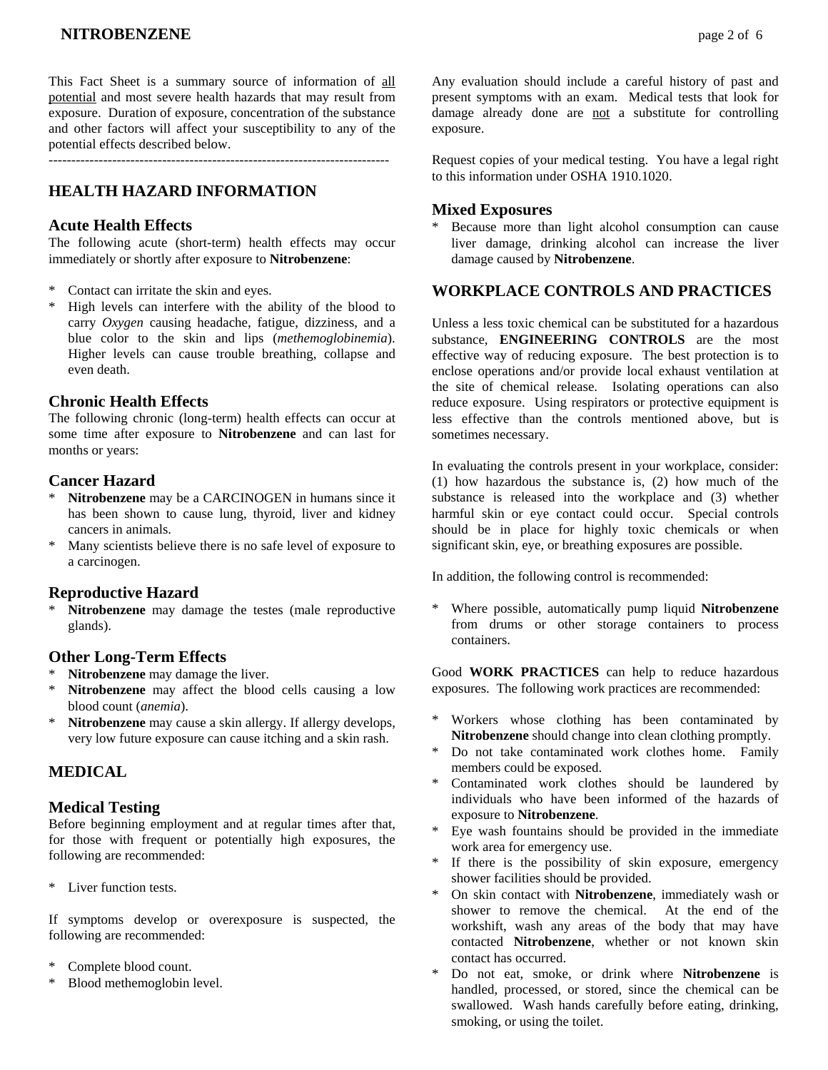This Fact Sheet is a summary source of information of all potential and most severe health hazards that may result from exposure. Duration of exposure, concentration of the substance and other factors will affect your susceptibility to any of the potential effects described below.

## **HEALTH HAZARD INFORMATION**

### **Acute Health Effects**

The following acute (short-term) health effects may occur immediately or shortly after exposure to **Nitrobenzene**:

- Contact can irritate the skin and eyes.
- \* High levels can interfere with the ability of the blood to carry *Oxygen* causing headache, fatigue, dizziness, and a blue color to the skin and lips (*methemoglobinemia*). Higher levels can cause trouble breathing, collapse and even death.

### **Chronic Health Effects**

The following chronic (long-term) health effects can occur at some time after exposure to **Nitrobenzene** and can last for months or years:

### **Cancer Hazard**

- Nitrobenzene may be a CARCINOGEN in humans since it has been shown to cause lung, thyroid, liver and kidney cancers in animals.
- \* Many scientists believe there is no safe level of exposure to a carcinogen.

### **Reproductive Hazard**

Nitrobenzene may damage the testes (male reproductive glands).

### **Other Long-Term Effects**

- \* **Nitrobenzene** may damage the liver.
- Nitrobenzene may affect the blood cells causing a low blood count (*anemia*).
- \* **Nitrobenzene** may cause a skin allergy. If allergy develops, very low future exposure can cause itching and a skin rash.

## **MEDICAL**

### **Medical Testing**

Before beginning employment and at regular times after that, for those with frequent or potentially high exposures, the following are recommended:

\* Liver function tests.

If symptoms develop or overexposure is suspected, the following are recommended:

- Complete blood count.
- Blood methemoglobin level.

Any evaluation should include a careful history of past and present symptoms with an exam. Medical tests that look for damage already done are not a substitute for controlling exposure.

Request copies of your medical testing. You have a legal right to this information under OSHA 1910.1020.

### **Mixed Exposures**

Because more than light alcohol consumption can cause liver damage, drinking alcohol can increase the liver damage caused by **Nitrobenzene**.

## **WORKPLACE CONTROLS AND PRACTICES**

Unless a less toxic chemical can be substituted for a hazardous substance, **ENGINEERING CONTROLS** are the most effective way of reducing exposure. The best protection is to enclose operations and/or provide local exhaust ventilation at the site of chemical release. Isolating operations can also reduce exposure. Using respirators or protective equipment is less effective than the controls mentioned above, but is sometimes necessary.

In evaluating the controls present in your workplace, consider: (1) how hazardous the substance is, (2) how much of the substance is released into the workplace and (3) whether harmful skin or eye contact could occur. Special controls should be in place for highly toxic chemicals or when significant skin, eye, or breathing exposures are possible.

In addition, the following control is recommended:

\* Where possible, automatically pump liquid **Nitrobenzene** from drums or other storage containers to process containers.

Good **WORK PRACTICES** can help to reduce hazardous exposures. The following work practices are recommended:

- \* Workers whose clothing has been contaminated by **Nitrobenzene** should change into clean clothing promptly.
- \* Do not take contaminated work clothes home. Family members could be exposed.
- Contaminated work clothes should be laundered by individuals who have been informed of the hazards of exposure to **Nitrobenzene**.
- Eye wash fountains should be provided in the immediate work area for emergency use.
- \* If there is the possibility of skin exposure, emergency shower facilities should be provided.
- \* On skin contact with **Nitrobenzene**, immediately wash or shower to remove the chemical. At the end of the workshift, wash any areas of the body that may have contacted **Nitrobenzene**, whether or not known skin contact has occurred.
- \* Do not eat, smoke, or drink where **Nitrobenzene** is handled, processed, or stored, since the chemical can be swallowed. Wash hands carefully before eating, drinking, smoking, or using the toilet.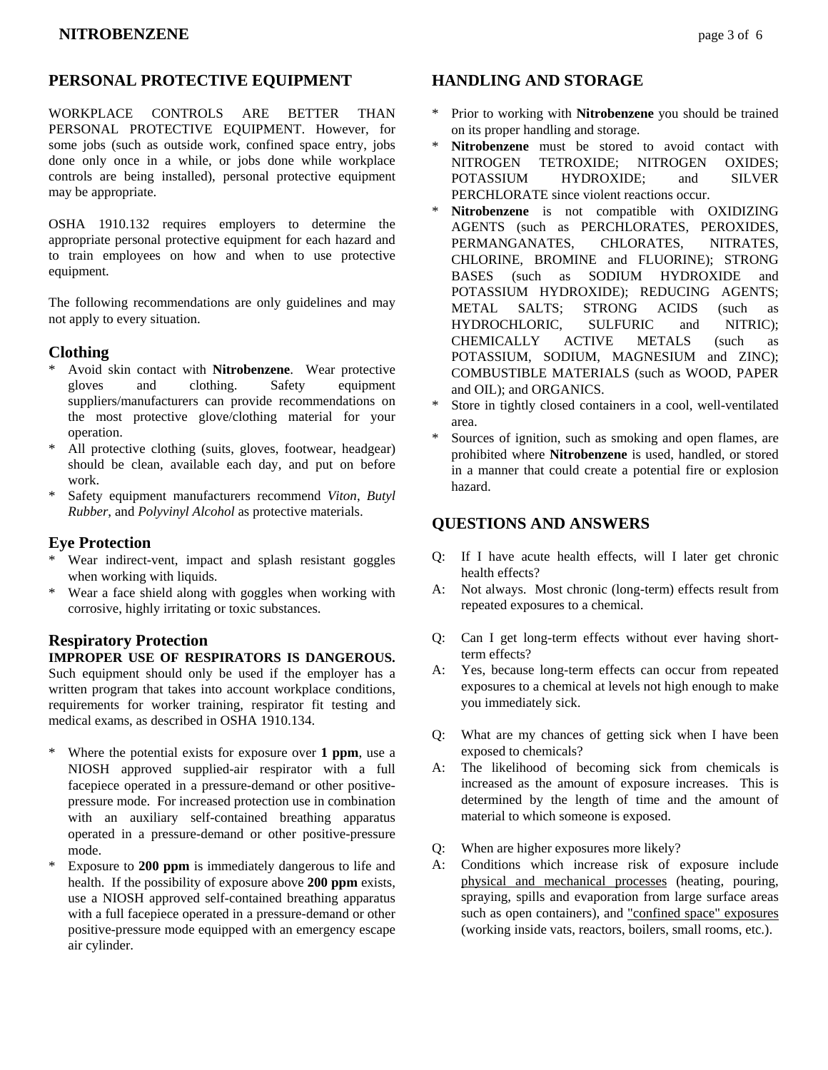WORKPLACE CONTROLS ARE BETTER THAN PERSONAL PROTECTIVE EQUIPMENT. However, for some jobs (such as outside work, confined space entry, jobs done only once in a while, or jobs done while workplace controls are being installed), personal protective equipment may be appropriate.

OSHA 1910.132 requires employers to determine the appropriate personal protective equipment for each hazard and to train employees on how and when to use protective equipment.

The following recommendations are only guidelines and may not apply to every situation.

# **Clothing**

- \* Avoid skin contact with **Nitrobenzene**. Wear protective gloves and clothing. Safety equipment suppliers/manufacturers can provide recommendations on the most protective glove/clothing material for your operation.
- \* All protective clothing (suits, gloves, footwear, headgear) should be clean, available each day, and put on before work.
- \* Safety equipment manufacturers recommend *Viton*, *Butyl Rubber*, and *Polyvinyl Alcohol* as protective materials.

# **Eye Protection**

- \* Wear indirect-vent, impact and splash resistant goggles when working with liquids.
- \* Wear a face shield along with goggles when working with corrosive, highly irritating or toxic substances.

# **Respiratory Protection**

# **IMPROPER USE OF RESPIRATORS IS DANGEROUS.**

Such equipment should only be used if the employer has a written program that takes into account workplace conditions, requirements for worker training, respirator fit testing and medical exams, as described in OSHA 1910.134.

- \* Where the potential exists for exposure over **1 ppm**, use a NIOSH approved supplied-air respirator with a full facepiece operated in a pressure-demand or other positivepressure mode. For increased protection use in combination with an auxiliary self-contained breathing apparatus operated in a pressure-demand or other positive-pressure mode.
- \* Exposure to **200 ppm** is immediately dangerous to life and health. If the possibility of exposure above **200 ppm** exists, use a NIOSH approved self-contained breathing apparatus with a full facepiece operated in a pressure-demand or other positive-pressure mode equipped with an emergency escape air cylinder.

# **HANDLING AND STORAGE**

- \* Prior to working with **Nitrobenzene** you should be trained on its proper handling and storage.
- \* **Nitrobenzene** must be stored to avoid contact with NITROGEN TETROXIDE; NITROGEN OXIDES; POTASSIUM HYDROXIDE; and SILVER PERCHLORATE since violent reactions occur.
- Nitrobenzene is not compatible with OXIDIZING AGENTS (such as PERCHLORATES, PEROXIDES, PERMANGANATES, CHLORATES, NITRATES, CHLORINE, BROMINE and FLUORINE); STRONG BASES (such as SODIUM HYDROXIDE and POTASSIUM HYDROXIDE); REDUCING AGENTS; METAL SALTS; STRONG ACIDS (such as HYDROCHLORIC, SULFURIC and NITRIC); CHEMICALLY ACTIVE METALS (such as POTASSIUM, SODIUM, MAGNESIUM and ZINC); COMBUSTIBLE MATERIALS (such as WOOD, PAPER and OIL); and ORGANICS.
- Store in tightly closed containers in a cool, well-ventilated area.
- Sources of ignition, such as smoking and open flames, are prohibited where **Nitrobenzene** is used, handled, or stored in a manner that could create a potential fire or explosion hazard.

# **QUESTIONS AND ANSWERS**

- Q: If I have acute health effects, will I later get chronic health effects?
- A: Not always. Most chronic (long-term) effects result from repeated exposures to a chemical.
- Q: Can I get long-term effects without ever having shortterm effects?
- A: Yes, because long-term effects can occur from repeated exposures to a chemical at levels not high enough to make you immediately sick.
- Q: What are my chances of getting sick when I have been exposed to chemicals?
- A: The likelihood of becoming sick from chemicals is increased as the amount of exposure increases. This is determined by the length of time and the amount of material to which someone is exposed.
- Q: When are higher exposures more likely?
- A: Conditions which increase risk of exposure include physical and mechanical processes (heating, pouring, spraying, spills and evaporation from large surface areas such as open containers), and "confined space" exposures (working inside vats, reactors, boilers, small rooms, etc.).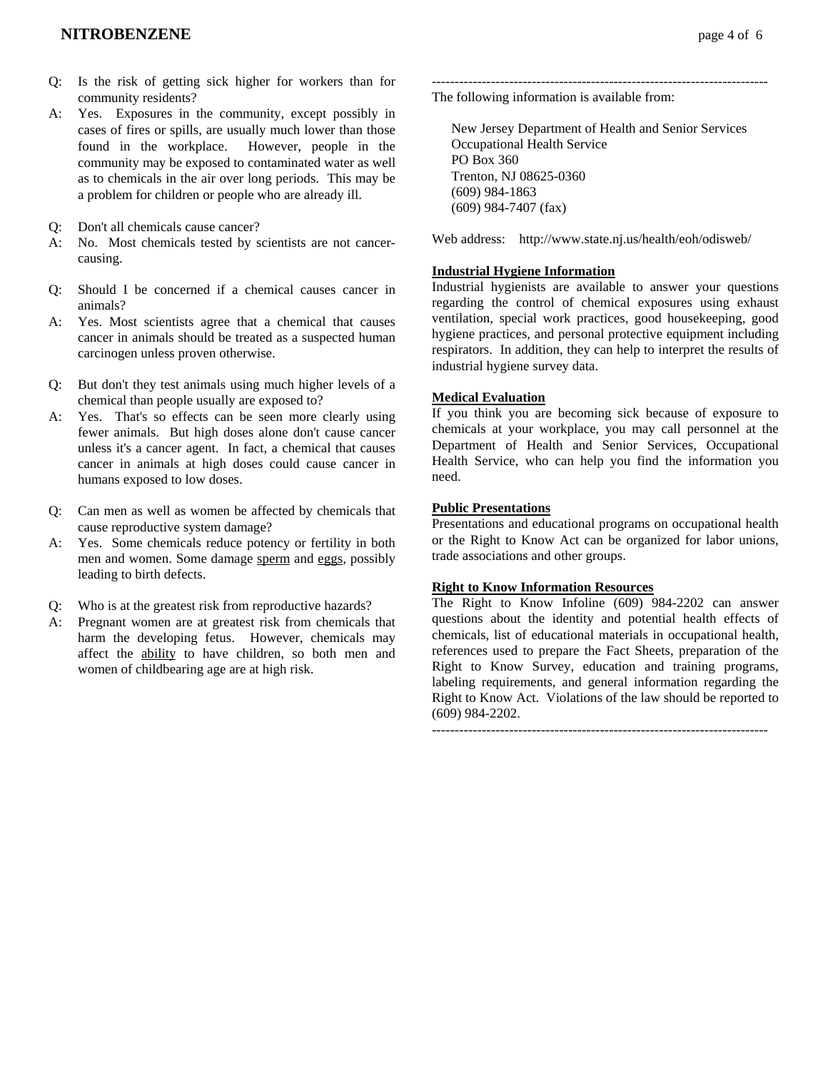- Q: Is the risk of getting sick higher for workers than for community residents?
- A: Yes. Exposures in the community, except possibly in cases of fires or spills, are usually much lower than those found in the workplace. However, people in the community may be exposed to contaminated water as well as to chemicals in the air over long periods. This may be a problem for children or people who are already ill.
- Q: Don't all chemicals cause cancer?
- A: No. Most chemicals tested by scientists are not cancercausing.
- Q: Should I be concerned if a chemical causes cancer in animals?
- A: Yes. Most scientists agree that a chemical that causes cancer in animals should be treated as a suspected human carcinogen unless proven otherwise.
- Q: But don't they test animals using much higher levels of a chemical than people usually are exposed to?
- A: Yes. That's so effects can be seen more clearly using fewer animals. But high doses alone don't cause cancer unless it's a cancer agent. In fact, a chemical that causes cancer in animals at high doses could cause cancer in humans exposed to low doses.
- Q: Can men as well as women be affected by chemicals that cause reproductive system damage?
- A: Yes. Some chemicals reduce potency or fertility in both men and women. Some damage sperm and eggs, possibly leading to birth defects.
- Q: Who is at the greatest risk from reproductive hazards?
- A: Pregnant women are at greatest risk from chemicals that harm the developing fetus. However, chemicals may affect the ability to have children, so both men and women of childbearing age are at high risk.

-------------------------------------------------------------------------- The following information is available from:

 New Jersey Department of Health and Senior Services Occupational Health Service PO Box 360 Trenton, NJ 08625-0360 (609) 984-1863 (609) 984-7407 (fax)

Web address: http://www.state.nj.us/health/eoh/odisweb/

### **Industrial Hygiene Information**

Industrial hygienists are available to answer your questions regarding the control of chemical exposures using exhaust ventilation, special work practices, good housekeeping, good hygiene practices, and personal protective equipment including respirators. In addition, they can help to interpret the results of industrial hygiene survey data.

#### **Medical Evaluation**

If you think you are becoming sick because of exposure to chemicals at your workplace, you may call personnel at the Department of Health and Senior Services, Occupational Health Service, who can help you find the information you need.

#### **Public Presentations**

Presentations and educational programs on occupational health or the Right to Know Act can be organized for labor unions, trade associations and other groups.

#### **Right to Know Information Resources**

The Right to Know Infoline (609) 984-2202 can answer questions about the identity and potential health effects of chemicals, list of educational materials in occupational health, references used to prepare the Fact Sheets, preparation of the Right to Know Survey, education and training programs, labeling requirements, and general information regarding the Right to Know Act. Violations of the law should be reported to (609) 984-2202.

 $-$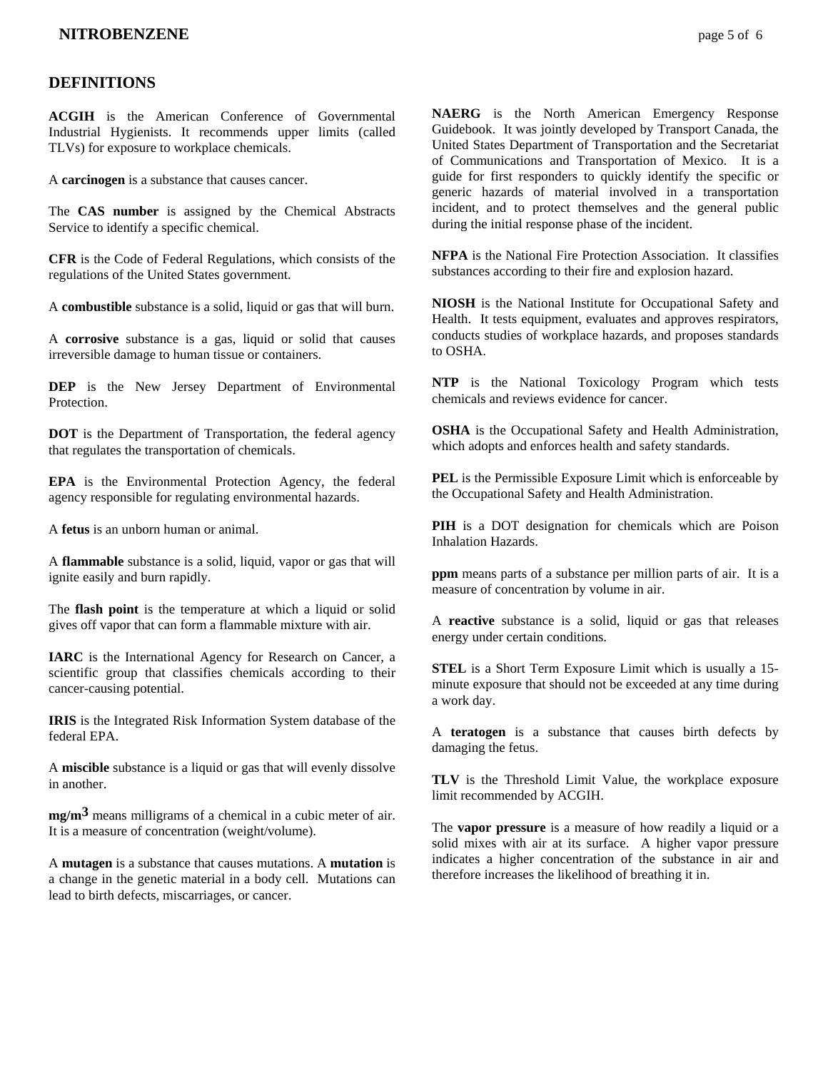## **DEFINITIONS**

**ACGIH** is the American Conference of Governmental Industrial Hygienists. It recommends upper limits (called TLVs) for exposure to workplace chemicals.

A **carcinogen** is a substance that causes cancer.

The **CAS number** is assigned by the Chemical Abstracts Service to identify a specific chemical.

**CFR** is the Code of Federal Regulations, which consists of the regulations of the United States government.

A **combustible** substance is a solid, liquid or gas that will burn.

A **corrosive** substance is a gas, liquid or solid that causes irreversible damage to human tissue or containers.

**DEP** is the New Jersey Department of Environmental **Protection** 

**DOT** is the Department of Transportation, the federal agency that regulates the transportation of chemicals.

**EPA** is the Environmental Protection Agency, the federal agency responsible for regulating environmental hazards.

A **fetus** is an unborn human or animal.

A **flammable** substance is a solid, liquid, vapor or gas that will ignite easily and burn rapidly.

The **flash point** is the temperature at which a liquid or solid gives off vapor that can form a flammable mixture with air.

**IARC** is the International Agency for Research on Cancer, a scientific group that classifies chemicals according to their cancer-causing potential.

**IRIS** is the Integrated Risk Information System database of the federal EPA.

A **miscible** substance is a liquid or gas that will evenly dissolve in another.

**mg/m3** means milligrams of a chemical in a cubic meter of air. It is a measure of concentration (weight/volume).

A **mutagen** is a substance that causes mutations. A **mutation** is a change in the genetic material in a body cell. Mutations can lead to birth defects, miscarriages, or cancer.

**NAERG** is the North American Emergency Response Guidebook. It was jointly developed by Transport Canada, the United States Department of Transportation and the Secretariat of Communications and Transportation of Mexico. It is a guide for first responders to quickly identify the specific or generic hazards of material involved in a transportation incident, and to protect themselves and the general public during the initial response phase of the incident.

**NFPA** is the National Fire Protection Association. It classifies substances according to their fire and explosion hazard.

**NIOSH** is the National Institute for Occupational Safety and Health. It tests equipment, evaluates and approves respirators, conducts studies of workplace hazards, and proposes standards to OSHA.

**NTP** is the National Toxicology Program which tests chemicals and reviews evidence for cancer.

**OSHA** is the Occupational Safety and Health Administration, which adopts and enforces health and safety standards.

**PEL** is the Permissible Exposure Limit which is enforceable by the Occupational Safety and Health Administration.

**PIH** is a DOT designation for chemicals which are Poison Inhalation Hazards.

**ppm** means parts of a substance per million parts of air. It is a measure of concentration by volume in air.

A **reactive** substance is a solid, liquid or gas that releases energy under certain conditions.

**STEL** is a Short Term Exposure Limit which is usually a 15 minute exposure that should not be exceeded at any time during a work day.

A **teratogen** is a substance that causes birth defects by damaging the fetus.

**TLV** is the Threshold Limit Value, the workplace exposure limit recommended by ACGIH.

The **vapor pressure** is a measure of how readily a liquid or a solid mixes with air at its surface. A higher vapor pressure indicates a higher concentration of the substance in air and therefore increases the likelihood of breathing it in.